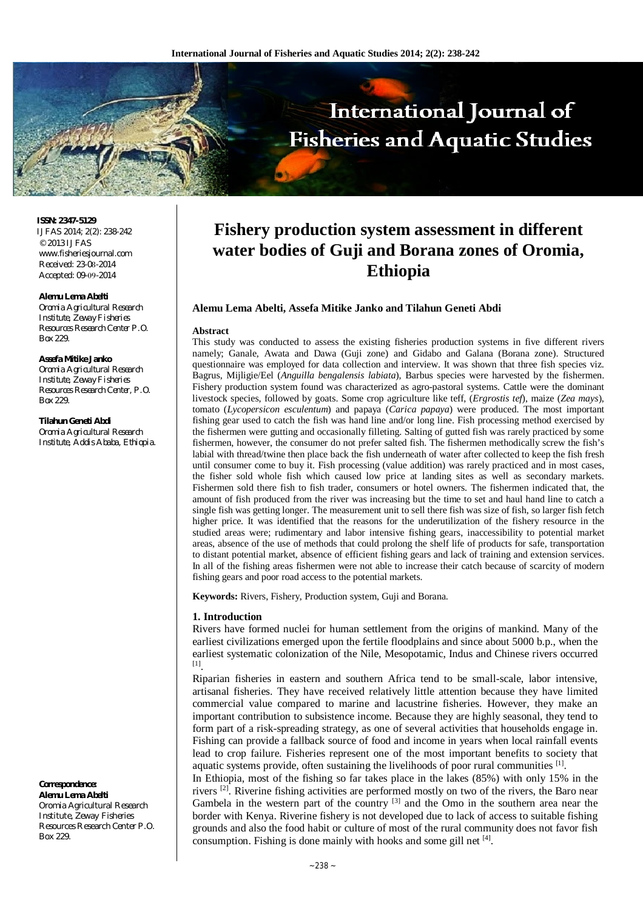

**ISSN: 2347-5129** IJFAS 2014; 2(2): 238-242 © 2013 IJFAS [www.fisheriesjournal.com](http://www.fisheriesjournal.com)  Received: 23-08-2014 Accepted: 09-09-2014

#### **Alemu Lema Abelti**

*Oromia Agricultural Research Institute, Zeway Fisheries Resources Research Center P.O. Box 229.*

#### **Assefa Mitike Janko**

*Oromia Agricultural Research Institute, Zeway Fisheries Resources Research Center, P.O. Box 229.*

**Tilahun Geneti Abdi**

*Oromia Agricultural Research Institute, Addis Ababa, Ethiopia.*

### **Correspondence: Alemu Lema Abelti** Oromia Agricultural Research

Institute, Zeway Fisheries Resources Research Center P.O. Box 229.

# **Fishery production system assessment in different water bodies of Guji and Borana zones of Oromia, Ethiopia**

#### **Alemu Lema Abelti, Assefa Mitike Janko and Tilahun Geneti Abdi**

#### **Abstract**

This study was conducted to assess the existing fisheries production systems in five different rivers namely; Ganale, Awata and Dawa (Guji zone) and Gidabo and Galana (Borana zone). Structured questionnaire was employed for data collection and interview. It was shown that three fish species viz. Bagrus, Mijligie/Eel (*Anguilla bengalensis labiata*), Barbus species were harvested by the fishermen. Fishery production system found was characterized as agro-pastoral systems. Cattle were the dominant livestock species, followed by goats. Some crop agriculture like teff, (*Ergrostis tef*), maize (*Zea mays*), tomato (*Lycopersicon esculentum*) and papaya (*Carica papaya*) were produced. The most important fishing gear used to catch the fish was hand line and/or long line. Fish processing method exercised by the fishermen were gutting and occasionally filleting. Salting of gutted fish was rarely practiced by some fishermen, however, the consumer do not prefer salted fish. The fishermen methodically screw the fish's labial with thread/twine then place back the fish underneath of water after collected to keep the fish fresh until consumer come to buy it. Fish processing (value addition) was rarely practiced and in most cases, the fisher sold whole fish which caused low price at landing sites as well as secondary markets. Fishermen sold there fish to fish trader, consumers or hotel owners. The fishermen indicated that, the amount of fish produced from the river was increasing but the time to set and haul hand line to catch a single fish was getting longer. The measurement unit to sell there fish was size of fish, so larger fish fetch higher price. It was identified that the reasons for the underutilization of the fishery resource in the studied areas were; rudimentary and labor intensive fishing gears, inaccessibility to potential market areas, absence of the use of methods that could prolong the shelf life of products for safe, transportation to distant potential market, absence of efficient fishing gears and lack of training and extension services. In all of the fishing areas fishermen were not able to increase their catch because of scarcity of modern fishing gears and poor road access to the potential markets.

**Keywords:** Rivers, Fishery, Production system, Guji and Borana.

#### **1. Introduction**

Rivers have formed nuclei for human settlement from the origins of mankind. Many of the earliest civilizations emerged upon the fertile floodplains and since about 5000 b.p., when the earliest systematic colonization of the Nile, Mesopotamic, Indus and Chinese rivers occurred [1] .

Riparian fisheries in eastern and southern Africa tend to be small-scale, labor intensive, artisanal fisheries. They have received relatively little attention because they have limited commercial value compared to marine and lacustrine fisheries. However, they make an important contribution to subsistence income. Because they are highly seasonal, they tend to form part of a risk-spreading strategy, as one of several activities that households engage in. Fishing can provide a fallback source of food and income in years when local rainfall events lead to crop failure. Fisheries represent one of the most important benefits to society that aquatic systems provide, often sustaining the livelihoods of poor rural communities  $[1]$ .

In Ethiopia, most of the fishing so far takes place in the lakes (85%) with only 15% in the rivers  $^{[2]}$ . Riverine fishing activities are performed mostly on two of the rivers, the Baro near Gambela in the western part of the country <sup>[3]</sup> and the Omo in the southern area near the border with Kenya. Riverine fishery is not developed due to lack of access to suitable fishing grounds and also the food habit or culture of most of the rural community does not favor fish consumption. Fishing is done mainly with hooks and some gill net [4].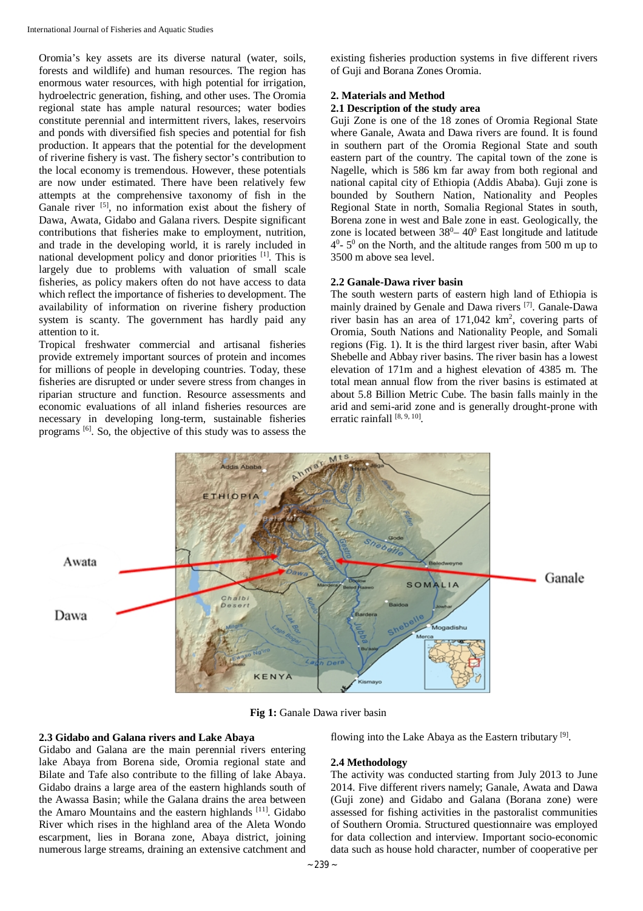Oromia's key assets are its diverse natural (water, soils, forests and wildlife) and human resources. The region has enormous water resources, with high potential for irrigation, hydroelectric generation, fishing, and other uses. The Oromia regional state has ample natural resources; water bodies constitute perennial and intermittent rivers, lakes, reservoirs and ponds with diversified fish species and potential for fish production. It appears that the potential for the development of riverine fishery is vast. The fishery sector's contribution to the local economy is tremendous. However, these potentials are now under estimated. There have been relatively few attempts at the comprehensive taxonomy of fish in the Ganale river [5], no information exist about the fishery of Dawa, Awata, Gidabo and Galana rivers. Despite significant contributions that fisheries make to employment, nutrition, and trade in the developing world, it is rarely included in national development policy and donor priorities [1]. This is largely due to problems with valuation of small scale fisheries, as policy makers often do not have access to data which reflect the importance of fisheries to development. The availability of information on riverine fishery production system is scanty. The government has hardly paid any attention to it.

Tropical freshwater commercial and artisanal fisheries provide extremely important sources of protein and incomes for millions of people in developing countries. Today, these fisheries are disrupted or under severe stress from changes in riparian structure and function. Resource assessments and economic evaluations of all inland fisheries resources are necessary in developing long-term, sustainable fisheries programs [6]. So, the objective of this study was to assess the

existing fisheries production systems in five different rivers of Guji and Borana Zones Oromia.

### **2. Materials and Method**

### **2.1 Description of the study area**

Guji Zone is one of the 18 zones of Oromia Regional State where Ganale, Awata and Dawa rivers are found. It is found in southern part of the Oromia Regional State and south eastern part of the country. The capital town of the zone is Nagelle, which is 586 km far away from both regional and national capital city of Ethiopia (Addis Ababa). Guji zone is bounded by Southern Nation, Nationality and Peoples Regional State in north, Somalia Regional States in south, Borena zone in west and Bale zone in east. Geologically, the zone is located between  $38^0 - 40^0$  East longitude and latitude  $4^0$ -  $5^0$  on the North, and the altitude ranges from 500 m up to 3500 m above sea level.

### **2.2 Ganale-Dawa river basin**

The south western parts of eastern high land of Ethiopia is mainly drained by Genale and Dawa rivers<sup>[7]</sup>. Ganale-Dawa river basin has an area of  $171,042 \text{ km}^2$ , covering parts of Oromia, South Nations and Nationality People, and Somali regions (Fig. 1). It is the third largest river basin, after Wabi Shebelle and Abbay river basins. The river basin has a lowest elevation of 171m and a highest elevation of 4385 m. The total mean annual flow from the river basins is estimated at about 5.8 Billion Metric Cube. The basin falls mainly in the arid and semi-arid zone and is generally drought-prone with erratic rainfall [8, 9, 10].



**Fig 1:** Ganale Dawa river basin

#### **2.3 Gidabo and Galana rivers and Lake Abaya**

Gidabo and Galana are the main perennial rivers entering lake Abaya from Borena side, Oromia regional state and Bilate and Tafe also contribute to the filling of lake Abaya. Gidabo drains a large area of the eastern highlands south of the Awassa Basin; while the Galana drains the area between the Amaro Mountains and the eastern highlands [11]. Gidabo River which rises in the highland area of the Aleta Wondo escarpment, lies in Borana zone, Abaya district, joining numerous large streams, draining an extensive catchment and

flowing into the Lake Abaya as the Eastern tributary<sup>[9]</sup>.

### **2.4 Methodology**

The activity was conducted starting from July 2013 to June 2014. Five different rivers namely; Ganale, Awata and Dawa (Guji zone) and Gidabo and Galana (Borana zone) were assessed for fishing activities in the pastoralist communities of Southern Oromia. Structured questionnaire was employed for data collection and interview. Important socio-economic data such as house hold character, number of cooperative per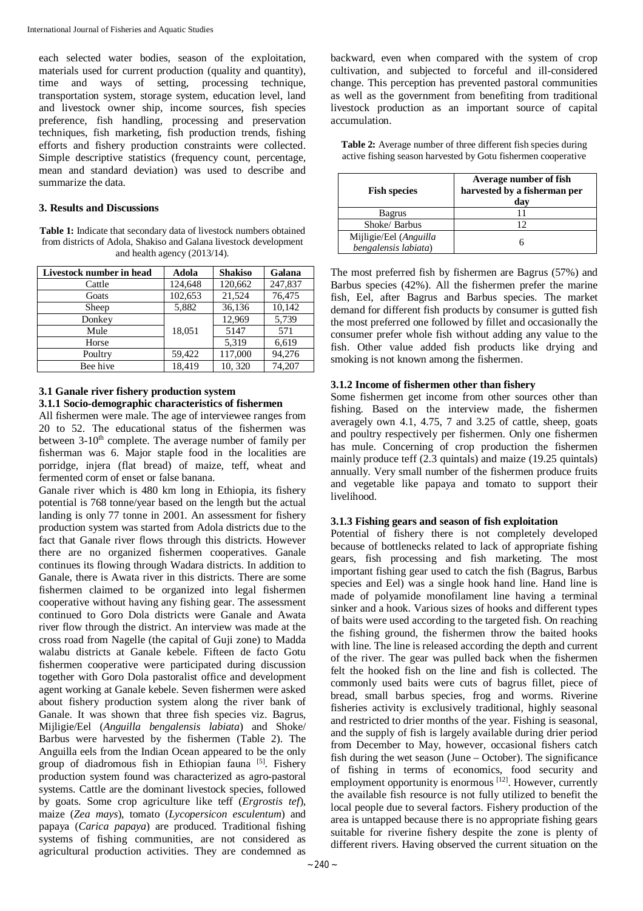each selected water bodies, season of the exploitation, materials used for current production (quality and quantity), time and ways of setting, processing technique, transportation system, storage system, education level, land and livestock owner ship, income sources, fish species preference, fish handling, processing and preservation techniques, fish marketing, fish production trends, fishing efforts and fishery production constraints were collected. Simple descriptive statistics (frequency count, percentage, mean and standard deviation) was used to describe and summarize the data.

### **3. Results and Discussions**

**Table 1:** Indicate that secondary data of livestock numbers obtained from districts of Adola, Shakiso and Galana livestock development and health agency (2013/14).

| Livestock number in head | Adola   | <b>Shakiso</b> | Galana  |
|--------------------------|---------|----------------|---------|
| Cattle                   | 124,648 | 120,662        | 247,837 |
| Goats                    | 102,653 | 21,524         | 76,475  |
| Sheep                    | 5,882   | 36,136         | 10,142  |
| Donkey                   |         | 12,969         | 5,739   |
| Mule                     | 18,051  | 5147           | 571     |
| Horse                    |         | 5,319          | 6,619   |
| Poultry                  | 59,422  | 117,000        | 94,276  |
| Bee hive                 | 18,419  | 10,320         | 74,207  |

### **3.1 Ganale river fishery production system 3.1.1 Socio-demographic characteristics of fishermen**

All fishermen were male. The age of interviewee ranges from 20 to 52. The educational status of the fishermen was between 3-10<sup>th</sup> complete. The average number of family per fisherman was 6. Major staple food in the localities are porridge, injera (flat bread) of maize, teff, wheat and fermented corm of enset or false banana.

Ganale river which is 480 km long in Ethiopia, its fishery potential is 768 tonne/year based on the length but the actual landing is only 77 tonne in 2001. An assessment for fishery production system was started from Adola districts due to the fact that Ganale river flows through this districts. However there are no organized fishermen cooperatives. Ganale continues its flowing through Wadara districts. In addition to Ganale, there is Awata river in this districts. There are some fishermen claimed to be organized into legal fishermen cooperative without having any fishing gear. The assessment continued to Goro Dola districts were Ganale and Awata river flow through the district. An interview was made at the cross road from Nagelle (the capital of Guji zone) to Madda walabu districts at Ganale kebele. Fifteen de facto Gotu fishermen cooperative were participated during discussion together with Goro Dola pastoralist office and development agent working at Ganale kebele. Seven fishermen were asked about fishery production system along the river bank of Ganale. It was shown that three fish species viz. Bagrus, Mijligie/Eel (*Anguilla bengalensis labiata*) and Shoke/ Barbus were harvested by the fishermen (Table 2). The Anguilla eels from the Indian Ocean appeared to be the only group of diadromous fish in Ethiopian fauna [5]. Fishery production system found was characterized as agro-pastoral systems. Cattle are the dominant livestock species, followed by goats. Some crop agriculture like teff (*Ergrostis tef*), maize (*Zea mays*), tomato (*Lycopersicon esculentum*) and papaya (*Carica papaya*) are produced. Traditional fishing systems of fishing communities, are not considered as agricultural production activities. They are condemned as

backward, even when compared with the system of crop cultivation, and subjected to forceful and ill-considered change. This perception has prevented pastoral communities as well as the government from benefiting from traditional livestock production as an important source of capital accumulation.

| <b>Fish species</b> | Average number of fish<br>harvested by a fisherman per<br>dav |
|---------------------|---------------------------------------------------------------|
| <b>Bagrus</b>       |                                                               |
| Shoke/ Barbus       |                                                               |

6

**Table 2:** Average number of three different fish species during active fishing season harvested by Gotu fishermen cooperative

The most preferred fish by fishermen are Bagrus (57%) and Barbus species (42%). All the fishermen prefer the marine fish, Eel, after Bagrus and Barbus species. The market demand for different fish products by consumer is gutted fish the most preferred one followed by fillet and occasionally the consumer prefer whole fish without adding any value to the fish. Other value added fish products like drying and smoking is not known among the fishermen.

# **3.1.2 Income of fishermen other than fishery**

Mijligie/Eel (*Anguilla bengalensis labiata*)

Some fishermen get income from other sources other than fishing. Based on the interview made, the fishermen averagely own 4.1, 4.75, 7 and 3.25 of cattle, sheep, goats and poultry respectively per fishermen. Only one fishermen has mule. Concerning of crop production the fishermen mainly produce teff (2.3 quintals) and maize (19.25 quintals) annually. Very small number of the fishermen produce fruits and vegetable like papaya and tomato to support their livelihood.

# **3.1.3 Fishing gears and season of fish exploitation**

Potential of fishery there is not completely developed because of bottlenecks related to lack of appropriate fishing gears, fish processing and fish marketing. The most important fishing gear used to catch the fish (Bagrus, Barbus species and Eel) was a single hook hand line. Hand line is made of polyamide monofilament line having a terminal sinker and a hook. Various sizes of hooks and different types of baits were used according to the targeted fish. On reaching the fishing ground, the fishermen throw the baited hooks with line. The line is released according the depth and current of the river. The gear was pulled back when the fishermen felt the hooked fish on the line and fish is collected. The commonly used baits were cuts of bagrus fillet, piece of bread, small barbus species, frog and worms. Riverine fisheries activity is exclusively traditional, highly seasonal and restricted to drier months of the year. Fishing is seasonal, and the supply of fish is largely available during drier period from December to May, however, occasional fishers catch fish during the wet season (June – October). The significance of fishing in terms of economics, food security and employment opportunity is enormous [12]. However, currently the available fish resource is not fully utilized to benefit the local people due to several factors. Fishery production of the area is untapped because there is no appropriate fishing gears suitable for riverine fishery despite the zone is plenty of different rivers. Having observed the current situation on the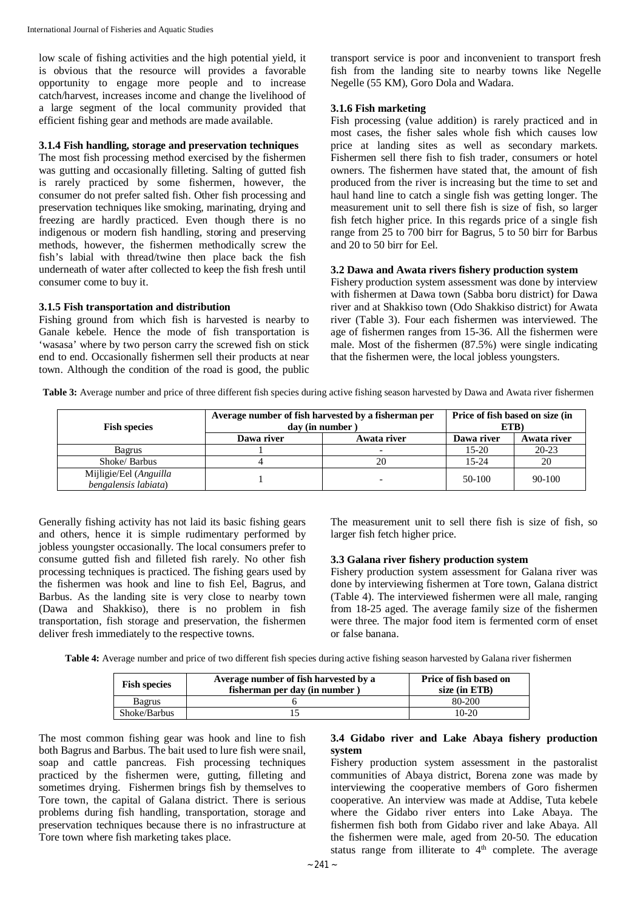low scale of fishing activities and the high potential yield, it is obvious that the resource will provides a favorable opportunity to engage more people and to increase catch/harvest, increases income and change the livelihood of a large segment of the local community provided that efficient fishing gear and methods are made available.

#### **3.1.4 Fish handling, storage and preservation techniques**

The most fish processing method exercised by the fishermen was gutting and occasionally filleting. Salting of gutted fish is rarely practiced by some fishermen, however, the consumer do not prefer salted fish. Other fish processing and preservation techniques like smoking, marinating, drying and freezing are hardly practiced. Even though there is no indigenous or modern fish handling, storing and preserving methods, however, the fishermen methodically screw the fish's labial with thread/twine then place back the fish underneath of water after collected to keep the fish fresh until consumer come to buy it.

### **3.1.5 Fish transportation and distribution**

Fishing ground from which fish is harvested is nearby to Ganale kebele. Hence the mode of fish transportation is 'wasasa' where by two person carry the screwed fish on stick end to end. Occasionally fishermen sell their products at near town. Although the condition of the road is good, the public

transport service is poor and inconvenient to transport fresh fish from the landing site to nearby towns like Negelle Negelle (55 KM), Goro Dola and Wadara.

### **3.1.6 Fish marketing**

Fish processing (value addition) is rarely practiced and in most cases, the fisher sales whole fish which causes low price at landing sites as well as secondary markets. Fishermen sell there fish to fish trader, consumers or hotel owners. The fishermen have stated that, the amount of fish produced from the river is increasing but the time to set and haul hand line to catch a single fish was getting longer. The measurement unit to sell there fish is size of fish, so larger fish fetch higher price. In this regards price of a single fish range from 25 to 700 birr for Bagrus, 5 to 50 birr for Barbus and 20 to 50 birr for Eel.

### **3.2 Dawa and Awata rivers fishery production system**

Fishery production system assessment was done by interview with fishermen at Dawa town (Sabba boru district) for Dawa river and at Shakkiso town (Odo Shakkiso district) for Awata river (Table 3). Four each fishermen was interviewed. The age of fishermen ranges from 15-36. All the fishermen were male. Most of the fishermen (87.5%) were single indicating that the fishermen were, the local jobless youngsters.

**Table 3:** Average number and price of three different fish species during active fishing season harvested by Dawa and Awata river fishermen

| <b>Fish species</b>                            | Average number of fish harvested by a fisherman per<br>day (in number) |             | Price of fish based on size (in<br>ETB) |             |
|------------------------------------------------|------------------------------------------------------------------------|-------------|-----------------------------------------|-------------|
|                                                | Dawa river                                                             | Awata river | Dawa river                              | Awata river |
| <b>Bagrus</b>                                  |                                                                        |             | $15-20$                                 | $20 - 23$   |
| Shoke/ Barbus                                  |                                                                        | 20          | $15 - 24$                               | 20          |
| Mijligie/Eel (Anguilla<br>bengalensis labiata) |                                                                        |             | 50-100                                  | $90-100$    |

Generally fishing activity has not laid its basic fishing gears and others, hence it is simple rudimentary performed by jobless youngster occasionally. The local consumers prefer to consume gutted fish and filleted fish rarely. No other fish processing techniques is practiced. The fishing gears used by the fishermen was hook and line to fish Eel, Bagrus, and Barbus. As the landing site is very close to nearby town (Dawa and Shakkiso), there is no problem in fish transportation, fish storage and preservation, the fishermen deliver fresh immediately to the respective towns.

The measurement unit to sell there fish is size of fish, so larger fish fetch higher price.

### **3.3 Galana river fishery production system**

Fishery production system assessment for Galana river was done by interviewing fishermen at Tore town, Galana district (Table 4). The interviewed fishermen were all male, ranging from 18-25 aged. The average family size of the fishermen were three. The major food item is fermented corm of enset or false banana.

**Table 4:** Average number and price of two different fish species during active fishing season harvested by Galana river fishermen

| <b>Fish species</b> | Average number of fish harvested by a<br>fisherman per day (in number | Price of fish based on<br>size $(in ETB)$ |
|---------------------|-----------------------------------------------------------------------|-------------------------------------------|
| Bagrus              |                                                                       | 80-200                                    |
| Shoke/Barbus        |                                                                       | $10-20$                                   |

The most common fishing gear was hook and line to fish both Bagrus and Barbus. The bait used to lure fish were snail, soap and cattle pancreas. Fish processing techniques practiced by the fishermen were, gutting, filleting and sometimes drying. Fishermen brings fish by themselves to Tore town, the capital of Galana district. There is serious problems during fish handling, transportation, storage and preservation techniques because there is no infrastructure at Tore town where fish marketing takes place.

### **3.4 Gidabo river and Lake Abaya fishery production system**

Fishery production system assessment in the pastoralist communities of Abaya district, Borena zone was made by interviewing the cooperative members of Goro fishermen cooperative. An interview was made at Addise, Tuta kebele where the Gidabo river enters into Lake Abaya. The fishermen fish both from Gidabo river and lake Abaya. All the fishermen were male, aged from 20-50. The education status range from illiterate to  $4<sup>th</sup>$  complete. The average